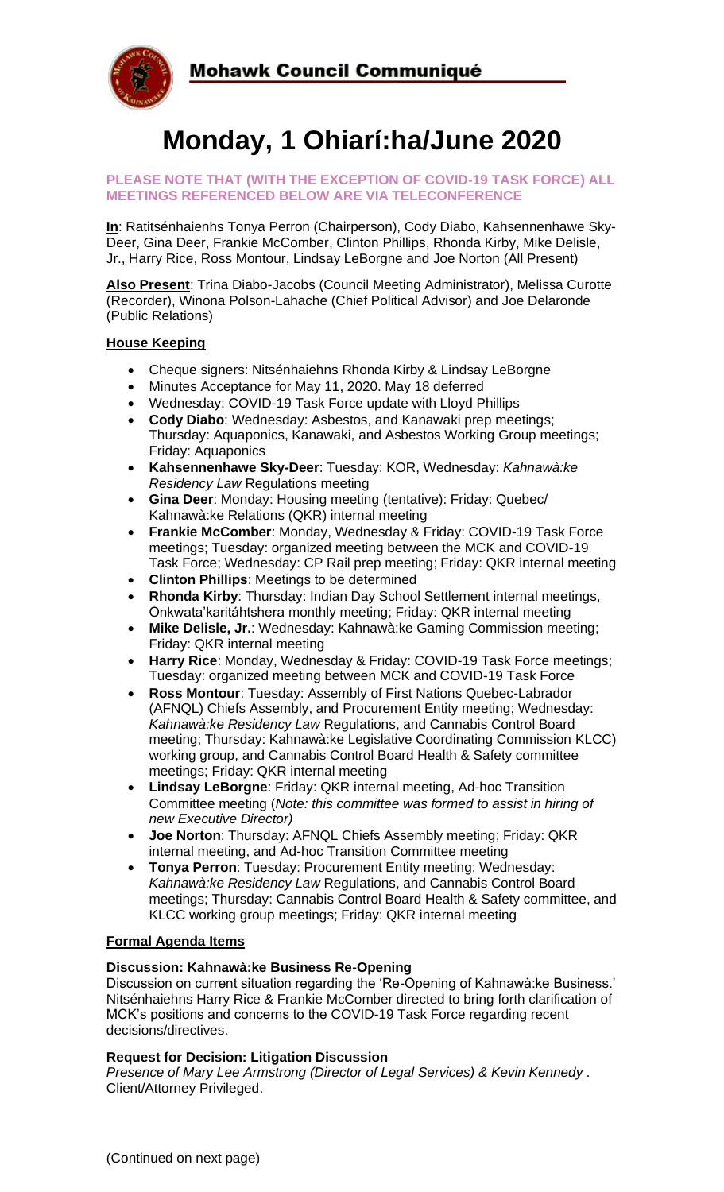

# **Monday, 1 Ohiarí:ha/June 2020**

#### **PLEASE NOTE THAT (WITH THE EXCEPTION OF COVID-19 TASK FORCE) ALL MEETINGS REFERENCED BELOW ARE VIA TELECONFERENCE**

**In**: Ratitsénhaienhs Tonya Perron (Chairperson), Cody Diabo, Kahsennenhawe Sky-Deer, Gina Deer, Frankie McComber, Clinton Phillips, Rhonda Kirby, Mike Delisle, Jr., Harry Rice, Ross Montour, Lindsay LeBorgne and Joe Norton (All Present)

**Also Present**: Trina Diabo-Jacobs (Council Meeting Administrator), Melissa Curotte (Recorder), Winona Polson-Lahache (Chief Political Advisor) and Joe Delaronde (Public Relations)

## **House Keeping**

- Cheque signers: Nitsénhaiehns Rhonda Kirby & Lindsay LeBorgne
- Minutes Acceptance for May 11, 2020. May 18 deferred
- Wednesday: COVID-19 Task Force update with Lloyd Phillips
- **Cody Diabo**: Wednesday: Asbestos, and Kanawaki prep meetings; Thursday: Aquaponics, Kanawaki, and Asbestos Working Group meetings; Friday: Aquaponics
- **Kahsennenhawe Sky-Deer**: Tuesday: KOR, Wednesday: *Kahnawà:ke Residency Law* Regulations meeting
- **Gina Deer**: Monday: Housing meeting (tentative): Friday: Quebec/ Kahnawà:ke Relations (QKR) internal meeting
- **Frankie McComber**: Monday, Wednesday & Friday: COVID-19 Task Force meetings; Tuesday: organized meeting between the MCK and COVID-19 Task Force; Wednesday: CP Rail prep meeting; Friday: QKR internal meeting
- **Clinton Phillips**: Meetings to be determined
- **Rhonda Kirby**: Thursday: Indian Day School Settlement internal meetings, Onkwata'karitáhtshera monthly meeting; Friday: QKR internal meeting
- **Mike Delisle, Jr.**: Wednesday: Kahnawà:ke Gaming Commission meeting; Friday: QKR internal meeting
- **Harry Rice**: Monday, Wednesday & Friday: COVID-19 Task Force meetings; Tuesday: organized meeting between MCK and COVID-19 Task Force
- **Ross Montour**: Tuesday: Assembly of First Nations Quebec-Labrador (AFNQL) Chiefs Assembly, and Procurement Entity meeting; Wednesday: *Kahnawà:ke Residency Law* Regulations, and Cannabis Control Board meeting; Thursday: Kahnawà:ke Legislative Coordinating Commission KLCC) working group, and Cannabis Control Board Health & Safety committee meetings; Friday: QKR internal meeting
- **Lindsay LeBorgne**: Friday: QKR internal meeting, Ad-hoc Transition Committee meeting (*Note: this committee was formed to assist in hiring of new Executive Director)*
- **Joe Norton**: Thursday: AFNQL Chiefs Assembly meeting; Friday: QKR internal meeting, and Ad-hoc Transition Committee meeting
- **Tonya Perron**: Tuesday: Procurement Entity meeting; Wednesday: *Kahnawà:ke Residency Law* Regulations, and Cannabis Control Board meetings; Thursday: Cannabis Control Board Health & Safety committee, and KLCC working group meetings; Friday: QKR internal meeting

#### **Formal Agenda Items**

## **Discussion: Kahnawà:ke Business Re-Opening**

Discussion on current situation regarding the 'Re-Opening of Kahnawà:ke Business.' Nitsénhaiehns Harry Rice & Frankie McComber directed to bring forth clarification of MCK's positions and concerns to the COVID-19 Task Force regarding recent decisions/directives.

#### **Request for Decision: Litigation Discussion**

*Presence of Mary Lee Armstrong (Director of Legal Services) & Kevin Kennedy .*  Client/Attorney Privileged.